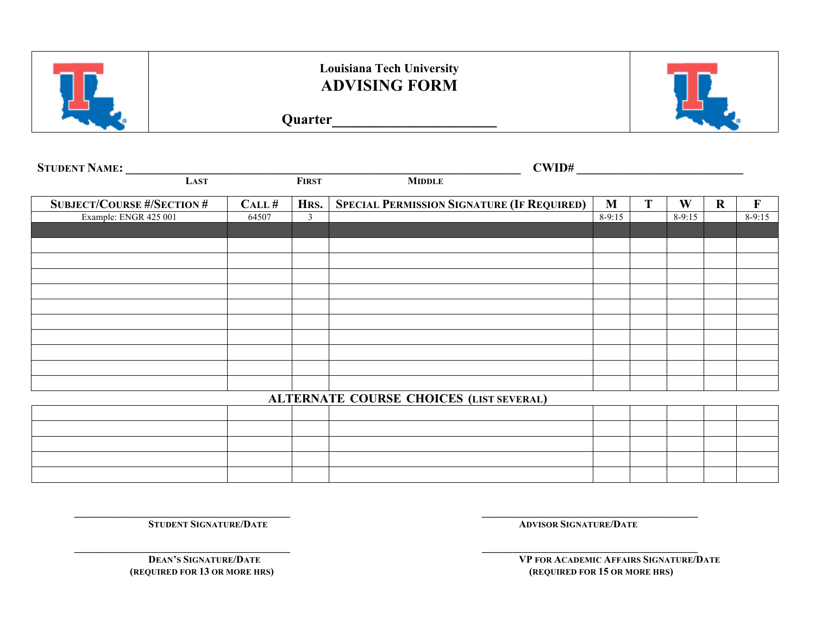

## **Louisiana Tech University ADVISING FORM**

**Quarter\_\_\_\_\_\_\_\_\_\_\_\_\_\_\_\_\_\_\_\_**



|       |                | CWD#                                              |                                                        |   |          |             |             |
|-------|----------------|---------------------------------------------------|--------------------------------------------------------|---|----------|-------------|-------------|
|       | <b>FIRST</b>   | <b>MIDDLE</b>                                     |                                                        |   |          |             |             |
| CALL# |                | <b>SPECIAL PERMISSION SIGNATURE (IF REQUIRED)</b> | M                                                      | T | W        | $\mathbf R$ | $\mathbf F$ |
| 64507 | $\mathfrak{Z}$ |                                                   | $8-9:15$                                               |   | $8-9:15$ |             | $8-9:15$    |
|       |                |                                                   |                                                        |   |          |             |             |
|       |                |                                                   |                                                        |   |          |             |             |
|       |                |                                                   |                                                        |   |          |             |             |
|       |                |                                                   |                                                        |   |          |             |             |
|       |                |                                                   |                                                        |   |          |             |             |
|       |                |                                                   |                                                        |   |          |             |             |
|       |                |                                                   |                                                        |   |          |             |             |
|       |                |                                                   |                                                        |   |          |             |             |
|       |                |                                                   |                                                        |   |          |             |             |
|       |                |                                                   |                                                        |   |          |             |             |
|       |                |                                                   |                                                        |   |          |             |             |
|       |                |                                                   |                                                        |   |          |             |             |
|       |                |                                                   |                                                        |   |          |             |             |
|       |                |                                                   |                                                        |   |          |             |             |
|       |                |                                                   |                                                        |   |          |             |             |
|       |                |                                                   |                                                        |   |          |             |             |
|       |                |                                                   |                                                        |   |          |             |             |
|       |                |                                                   |                                                        |   |          |             |             |
|       |                |                                                   | HRS.<br><b>ALTERNATE COURSE CHOICES (LIST SEVERAL)</b> |   |          |             |             |

**\_\_\_\_\_\_\_\_\_\_\_\_\_\_\_\_\_\_\_\_\_\_\_\_\_\_\_\_\_\_\_\_\_\_\_\_\_\_\_\_\_\_ \_\_\_\_\_\_\_\_\_\_\_\_\_\_\_\_\_\_\_\_\_\_\_\_\_\_\_\_\_\_\_\_\_\_\_\_\_\_\_\_\_\_**

**\_\_\_\_\_\_\_\_\_\_\_\_\_\_\_\_\_\_\_\_\_\_\_\_\_\_\_\_\_\_\_\_\_\_\_\_\_\_\_\_\_\_ \_\_\_\_\_\_\_\_\_\_\_\_\_\_\_\_\_\_\_\_\_\_\_\_\_\_\_\_\_\_\_\_\_\_\_\_\_\_\_\_\_\_**

**DEAN'S SIGNATURE/DATE**<br> **VP FOR ACADEMIC AFFAIRS SIGNATURE/DATE**<br> **VP FOR ACADEMIC AFFAIRS SIGNATURE/DATE**<br> **(REQUIRED FOR 15 OR MORE HRS)** 

**STUDENT SIGNATURE/DATE ADVISOR SIGNATURE/DATE** 

 **(REQUIRED FOR 13 OR MORE HRS) (REQUIRED FOR 15 OR MORE HRS)**